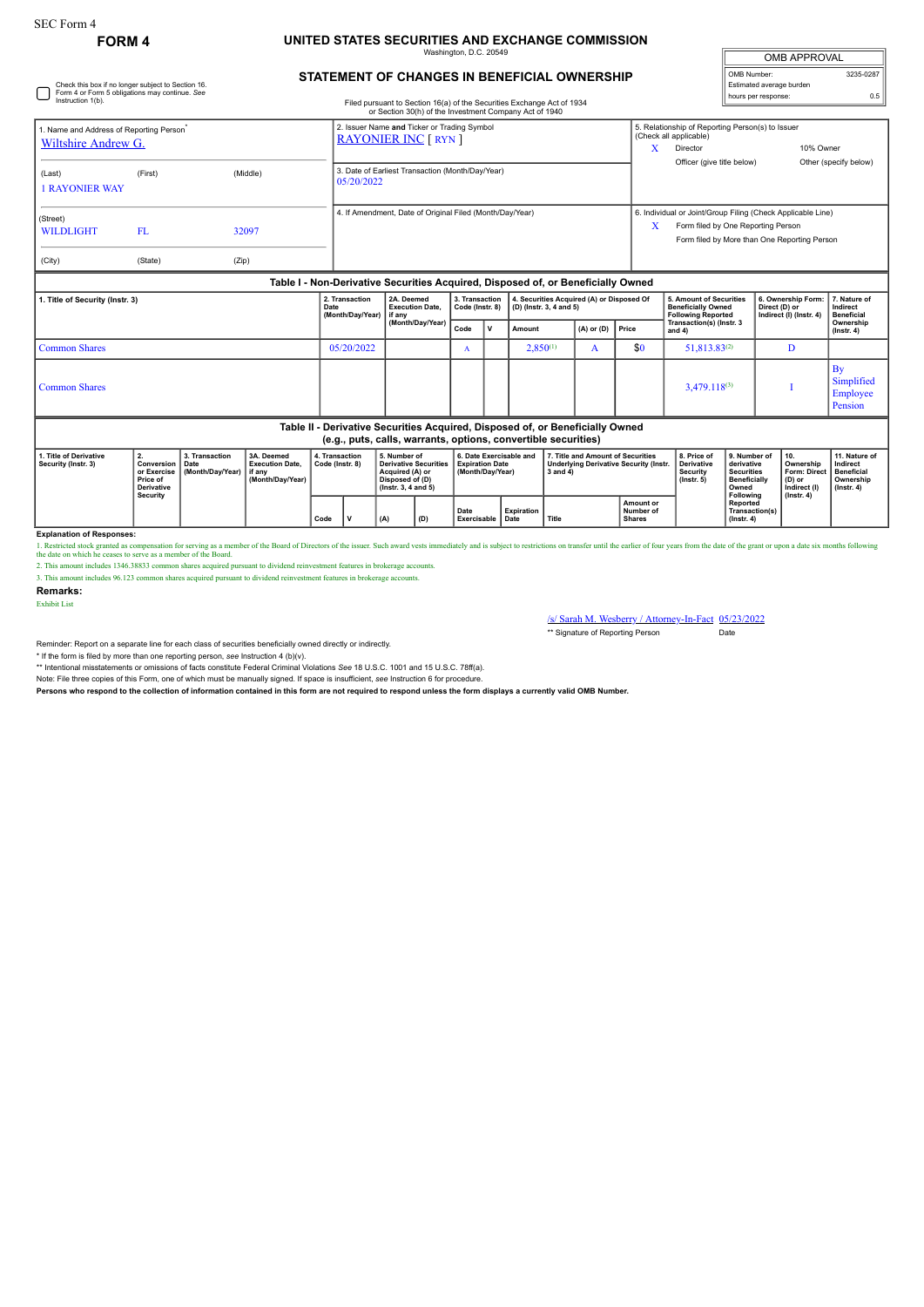Check this box if no longer subject to Section 16.

## **FORM 4 UNITED STATES SECURITIES AND EXCHANGE COMMISSION**

Washington, D.C. 20549

| <b>OMB APPROVAL</b>      |           |  |  |  |  |  |  |
|--------------------------|-----------|--|--|--|--|--|--|
| OMB Number:              | 3235-0287 |  |  |  |  |  |  |
| Estimated average burden |           |  |  |  |  |  |  |
| hours per response:      | 0.5       |  |  |  |  |  |  |

| STATEMENT OF CHANGES IN BENEFICIAL OWNERSHIP |  |
|----------------------------------------------|--|

| Form 4 or Form 5 obligations may continue. See<br>Instruction 1(b).<br>Filed pursuant to Section 16(a) of the Securities Exchange Act of 1934                                                                                  |                 |  |                                                                                              |                  |                                                                                                                                |                                  |                                                   |              |                          |                                                          |                                                                         |                                                                |                                                                                                                                                                                                                                                          | 0.5                                                                                 |                                                                                                                                    |                                                                                                                                                                                                                                                                                                                                                                                                         |  |
|--------------------------------------------------------------------------------------------------------------------------------------------------------------------------------------------------------------------------------|-----------------|--|----------------------------------------------------------------------------------------------|------------------|--------------------------------------------------------------------------------------------------------------------------------|----------------------------------|---------------------------------------------------|--------------|--------------------------|----------------------------------------------------------|-------------------------------------------------------------------------|----------------------------------------------------------------|----------------------------------------------------------------------------------------------------------------------------------------------------------------------------------------------------------------------------------------------------------|-------------------------------------------------------------------------------------|------------------------------------------------------------------------------------------------------------------------------------|---------------------------------------------------------------------------------------------------------------------------------------------------------------------------------------------------------------------------------------------------------------------------------------------------------------------------------------------------------------------------------------------------------|--|
| 1. Name and Address of Reporting Person <sup>®</sup><br>Wiltshire Andrew G.<br>(First)<br>(Middle)<br>(Last)                                                                                                                   |                 |  |                                                                                              |                  | 2. Issuer Name and Ticker or Trading Symbol<br><b>RAYONIER INC [ RYN ]</b><br>3. Date of Earliest Transaction (Month/Day/Year) |                                  |                                                   |              |                          |                                                          |                                                                         |                                                                | Director                                                                                                                                                                                                                                                 |                                                                                     |                                                                                                                                    | 10% Owner<br>Other (specify below)                                                                                                                                                                                                                                                                                                                                                                      |  |
|                                                                                                                                                                                                                                |                 |  |                                                                                              | 05/20/2022       |                                                                                                                                |                                  |                                                   |              |                          |                                                          |                                                                         |                                                                |                                                                                                                                                                                                                                                          |                                                                                     |                                                                                                                                    |                                                                                                                                                                                                                                                                                                                                                                                                         |  |
| <b>FL</b>                                                                                                                                                                                                                      |                 |  |                                                                                              |                  |                                                                                                                                |                                  |                                                   |              |                          |                                                          |                                                                         | X                                                              | Form filed by One Reporting Person<br>Form filed by More than One Reporting Person                                                                                                                                                                       |                                                                                     |                                                                                                                                    |                                                                                                                                                                                                                                                                                                                                                                                                         |  |
| (State)                                                                                                                                                                                                                        |                 |  |                                                                                              |                  |                                                                                                                                |                                  |                                                   |              |                          |                                                          |                                                                         |                                                                |                                                                                                                                                                                                                                                          |                                                                                     |                                                                                                                                    |                                                                                                                                                                                                                                                                                                                                                                                                         |  |
|                                                                                                                                                                                                                                |                 |  |                                                                                              |                  |                                                                                                                                |                                  |                                                   |              |                          |                                                          |                                                                         |                                                                |                                                                                                                                                                                                                                                          |                                                                                     |                                                                                                                                    | 7. Nature of                                                                                                                                                                                                                                                                                                                                                                                            |  |
| 1. Title of Security (Instr. 3)                                                                                                                                                                                                |                 |  | Date                                                                                         | (Month/Day/Year) |                                                                                                                                | <b>Execution Date.</b><br>if anv | Code (Instr. 8)<br>(D) (Instr. 3, 4 and 5)        |              |                          |                                                          |                                                                         |                                                                | Direct (D) or                                                                                                                                                                                                                                            | Indirect<br><b>Beneficial</b>                                                       |                                                                                                                                    |                                                                                                                                                                                                                                                                                                                                                                                                         |  |
|                                                                                                                                                                                                                                |                 |  |                                                                                              |                  |                                                                                                                                |                                  | Code                                              | $\mathsf{v}$ | $(A)$ or $(D)$<br>Amount |                                                          | Price                                                                   |                                                                |                                                                                                                                                                                                                                                          |                                                                                     | Ownership<br>$($ Instr. 4 $)$                                                                                                      |                                                                                                                                                                                                                                                                                                                                                                                                         |  |
| <b>Common Shares</b>                                                                                                                                                                                                           |                 |  |                                                                                              |                  |                                                                                                                                | $\mathbf{A}$                     |                                                   |              |                          | A                                                        | \$0                                                                     |                                                                |                                                                                                                                                                                                                                                          | D                                                                                   |                                                                                                                                    |                                                                                                                                                                                                                                                                                                                                                                                                         |  |
| <b>Common Shares</b>                                                                                                                                                                                                           |                 |  |                                                                                              |                  |                                                                                                                                |                                  |                                                   |              |                          |                                                          |                                                                         | $3.479.118^{(3)}$                                              |                                                                                                                                                                                                                                                          |                                                                                     | By<br>Simplified<br>Employee<br>Pension                                                                                            |                                                                                                                                                                                                                                                                                                                                                                                                         |  |
|                                                                                                                                                                                                                                |                 |  |                                                                                              |                  |                                                                                                                                |                                  |                                                   |              |                          |                                                          |                                                                         |                                                                |                                                                                                                                                                                                                                                          |                                                                                     |                                                                                                                                    |                                                                                                                                                                                                                                                                                                                                                                                                         |  |
| 2.<br>1. Title of Derivative<br>3. Transaction<br>3A. Deemed<br>Security (Instr. 3)<br>Conversion<br>Date<br><b>Execution Date.</b><br>or Exercise<br>(Month/Day/Year)<br>if any<br>Price of<br>(Month/Day/Year)<br>Derivative |                 |  | 5. Number of<br><b>Derivative Securities</b><br>Acquired (A) or<br>$($ lnstr. 3, 4 and 5 $)$ |                  | 6. Date Exercisable and<br><b>Expiration Date</b><br>(Month/Day/Year)                                                          |                                  |                                                   | 3 and 4)     |                          |                                                          | 8. Price of<br><b>Derivative</b><br>Security<br>$($ lnstr. 5 $)$        | Owned                                                          | 10.<br>(D) or                                                                                                                                                                                                                                            | 11. Nature of<br>Indirect<br><b>Beneficial</b><br>Ownership<br>$($ lnstr. 4 $)$     |                                                                                                                                    |                                                                                                                                                                                                                                                                                                                                                                                                         |  |
|                                                                                                                                                                                                                                |                 |  |                                                                                              |                  |                                                                                                                                |                                  | Date                                              |              | <b>Expiration</b>        |                                                          |                                                                         | Amount or                                                      | Number of<br><b>Shares</b>                                                                                                                                                                                                                               |                                                                                     | Transaction(s)                                                                                                                     |                                                                                                                                                                                                                                                                                                                                                                                                         |  |
|                                                                                                                                                                                                                                | <b>Security</b> |  | 32097<br>(Zip)                                                                               |                  | 2. Transaction<br>05/20/2022<br>4. Transaction<br>Code (Instr. 8)                                                              |                                  | 2A. Deemed<br>(Month/Day/Year)<br>Disposed of (D) |              | 3. Transaction           | 4. If Amendment, Date of Original Filed (Month/Day/Year) | or Section 30(h) of the Investment Company Act of 1940<br>$2,850^{(1)}$ | (e.g., puts, calls, warrants, options, convertible securities) | X<br>Table I - Non-Derivative Securities Acquired, Disposed of, or Beneficially Owned<br>4. Securities Acquired (A) or Disposed Of<br>Table II - Derivative Securities Acquired, Disposed of, or Beneficially Owned<br>7. Title and Amount of Securities | (Check all applicable)<br>and $4)$<br><b>Underlying Derivative Security (Instr.</b> | 5. Amount of Securities<br><b>Beneficially Owned</b><br><b>Following Reported</b><br>Transaction(s) (Instr. 3<br>$51,813.83^{(2)}$ | hours per response:<br>5. Relationship of Reporting Person(s) to Issuer<br>Officer (give title below)<br>6. Individual or Joint/Group Filing (Check Applicable Line)<br>6. Ownership Form:<br>Indirect (I) (Instr. 4)<br>9. Number of<br>derivative<br>Ownership<br><b>Securities</b><br><b>Form: Direct</b><br><b>Beneficially</b><br>Indirect (I)<br><b>Following</b><br>$($ lnstr. 4 $)$<br>Reported |  |

**Explanation of Responses:**<br>1. Restricted stock granted as compensation for serving as a member of the Board of Directors of the issuer. Such award vests immediately and is subject to restrictions on transfer until the ear

2. This amount includes 1346.38833 common shares acquired pursuant to dividend reinvestment features in brokerage accounts.

3. This amount includes 96.123 common shares acquired pursuant to dividend reinvestment features in brokerage accounts.

**Remarks:**

Exhibit List

/s/ Sarah M. Wesberry / Attorney-In-Fact 05/23/2022

\*\* Signature of Reporting Person Date

Reminder: Report on a separate line for each class of securities beneficially owned directly or indirectly.

\* If the form is filed by more than one reporting person, see Instruction 4 (b)(v).<br>\*\* Intentional misstatements or omissions of facts constitute Federal Criminal Violations See 18 U.S.C. 1001 and 15 U.S.C. 78ff(a). Note: File three copies of this Form, one of which must be manually signed. If space is insufficient, *see* Instruction 6 for procedure.

**Persons who respond to the collection of information contained in this form are not required to respond unless the form displays a currently valid OMB Number.**